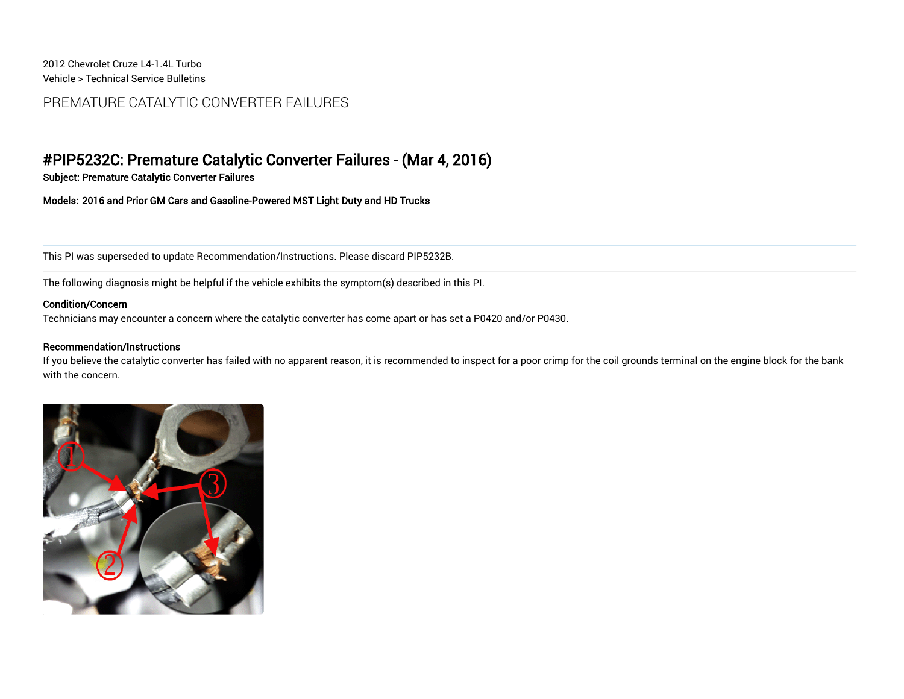2012 Chevrolet Cruze | 4-1.4L Turbo Vehicle > Technical Service Bulletins

## PREMATURE CATALYTIC CONVERTER FAILURES

# #PIP5232C: Premature Catalytic Converter Failures - (Mar 4, 2016)

Subject: Premature Catalytic Converter Failures

Models: 2016 and Prior GM Cars and Gasoline-Powered MST Light Duty and HD Trucks

This PI was superseded to update Recommendation/Instructions. Please discard PIP5232B.

The following diagnosis might be helpful if the vehicle exhibits the symptom(s) described in this PI.

#### Condition/Concern

Technicians may encounter a concern where the catalytic converter has come apart or has set a P0420 and/or P0430.

#### Recommendation/Instructions

If you believe the catalytic converter has failed with no apparent reason, it is recommended to inspect for a poor crimp for the coil grounds terminal on the engine block for the bank with the concern.

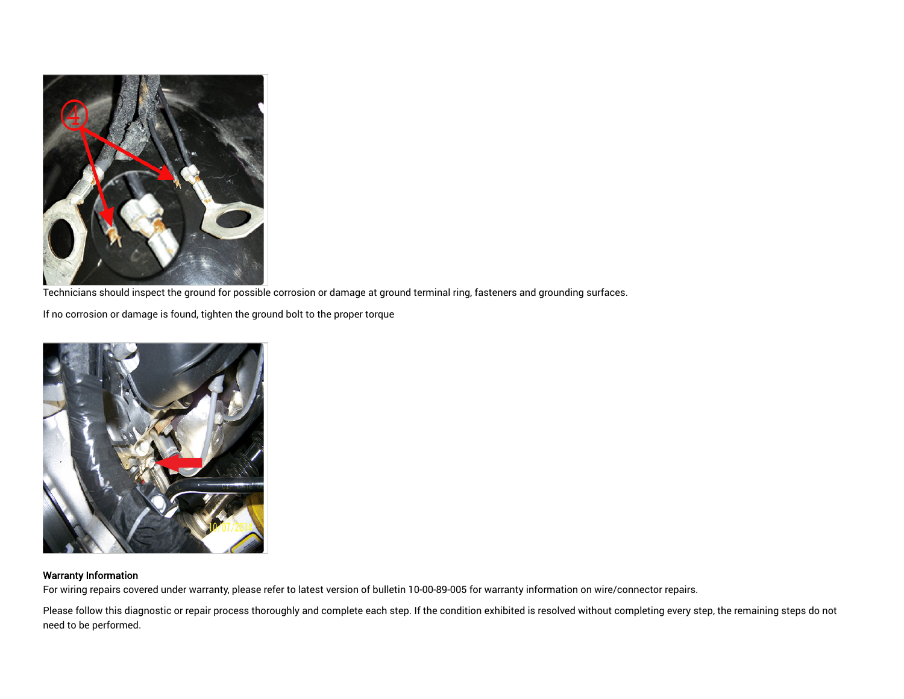

Technicians should inspect the ground for possible corrosion or damage at ground terminal ring, fasteners and grounding surfaces.

If no corrosion or damage is found, tighten the ground bolt to the proper torque



### Warranty Information

For wiring repairs covered under warranty, please refer to latest version of bulletin 10-00-89-005 for warranty information on wire/connector repairs.

Please follow this diagnostic or repair process thoroughly and complete each step. If the condition exhibited is resolved without completing every step, the remaining steps do not need to be performed.